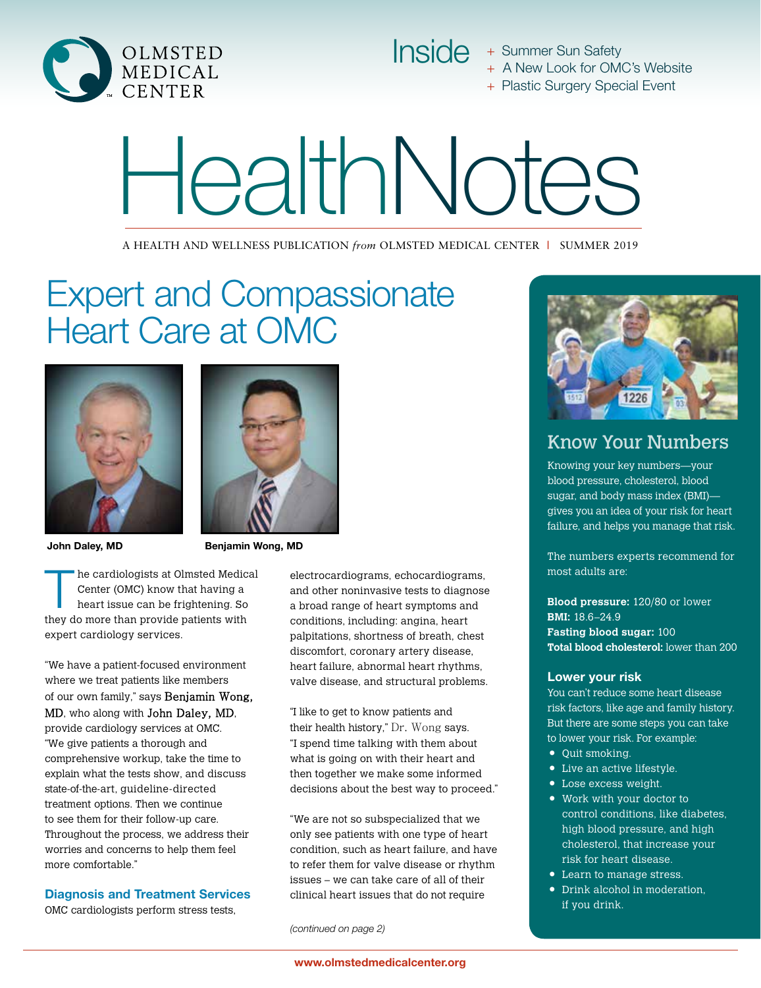

Inside + Summer Sun Safety + A New Look for OMC's Website

+ Plastic Surgery Special Event

# HealthNotes

A HEALTH AND WELLNESS PUBLICATION *from* OLMSTED MEDICAL CENTER **|** SUMMER 2019

## Expert and Compassionate Heart Care at OMC





John Daley, MD Benjamin Wong, MD

The cardiologists at Olmsted Medical<br>
Center (OMC) know that having a<br>
heart issue can be frightening. So Center (OMC) know that having a they do more than provide patients with expert cardiology services.

"We have a patient-focused environment where we treat patients like members of our own family," says Benjamin Wong, MD, who along with John Daley, MD, provide cardiology services at OMC. "We give patients a thorough and comprehensive workup, take the time to explain what the tests show, and discuss state-of-the-art, guideline-directed treatment options. Then we continue to see them for their follow-up care. Throughout the process, we address their worries and concerns to help them feel more comfortable."

#### Diagnosis and Treatment Services

OMC cardiologists perform stress tests,

electrocardiograms, echocardiograms, and other noninvasive tests to diagnose a broad range of heart symptoms and conditions, including: angina, heart palpitations, shortness of breath, chest discomfort, coronary artery disease, heart failure, abnormal heart rhythms, valve disease, and structural problems.

"I like to get to know patients and their health history," Dr. Wong says. "I spend time talking with them about what is going on with their heart and then together we make some informed decisions about the best way to proceed."

"We are not so subspecialized that we only see patients with one type of heart condition, such as heart failure, and have to refer them for valve disease or rhythm issues – we can take care of all of their clinical heart issues that do not require

*(continued on page 2)*



### Know Your Numbers

Knowing your key numbers—your blood pressure, cholesterol, blood sugar, and body mass index (BMI) gives you an idea of your risk for heart failure, and helps you manage that risk.

The numbers experts recommend for most adults are:

**Blood pressure:** 120/80 or lower **BMI:** 18.6–24.9 **Fasting blood sugar:** 100 **Total blood cholesterol:** lower than 200

#### Lower your risk

You can't reduce some heart disease risk factors, like age and family history. But there are some steps you can take to lower your risk. For example:

- Quit smoking.
- Live an active lifestyle.
- Lose excess weight.
- Work with your doctor to control conditions, like diabetes, high blood pressure, and high cholesterol, that increase your risk for heart disease.
- Learn to manage stress.
- Drink alcohol in moderation, if you drink.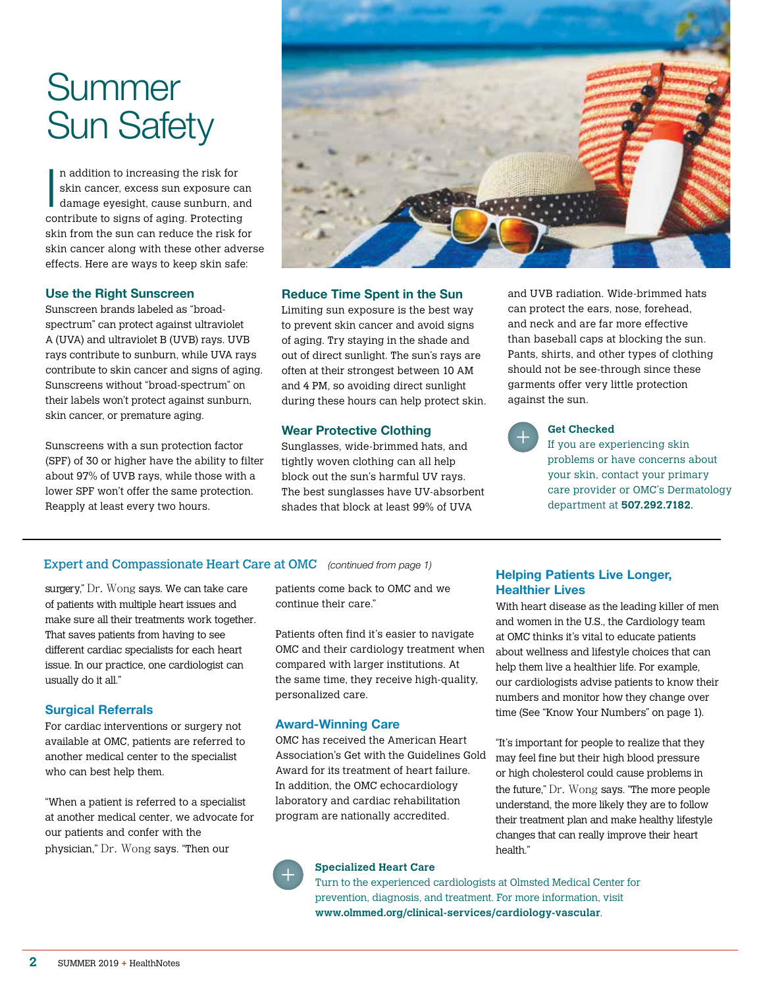## Summer Sun Safety

In the second control of the second control of the second control of the second control of the second control of the second control of the second control of the second control of the second control of the second control of n addition to increasing the risk for skin cancer, excess sun exposure can damage eyesight, cause sunburn, and contribute to signs of aging. Protecting skin from the sun can reduce the risk for skin cancer along with these other adverse effects. Here are ways to keep skin safe:

#### Use the Right Sunscreen

Sunscreen brands labeled as "broadspectrum" can protect against ultraviolet A (UVA) and ultraviolet B (UVB) rays. UVB rays contribute to sunburn, while UVA rays contribute to skin cancer and signs of aging. Sunscreens without "broad-spectrum" on their labels won't protect against sunburn, skin cancer, or premature aging.

Sunscreens with a sun protection factor (SPF) of 30 or higher have the ability to filter about 97% of UVB rays, while those with a lower SPF won't offer the same protection. Reapply at least every two hours.



#### Reduce Time Spent in the Sun

Limiting sun exposure is the best way to prevent skin cancer and avoid signs of aging. Try staying in the shade and out of direct sunlight. The sun's rays are often at their strongest between 10 AM and 4 PM, so avoiding direct sunlight during these hours can help protect skin.

#### Wear Protective Clothing

Sunglasses, wide-brimmed hats, and tightly woven clothing can all help block out the sun's harmful UV rays. The best sunglasses have UV-absorbent shades that block at least 99% of UVA

and UVB radiation. Wide-brimmed hats can protect the ears, nose, forehead, and neck and are far more effective than baseball caps at blocking the sun. Pants, shirts, and other types of clothing should not be see-through since these garments offer very little protection against the sun.



#### **Get Checked**

Helping Patients Live Longer,

With heart disease as the leading killer of men and women in the U.S., the Cardiology team at OMC thinks it's vital to educate patients about wellness and lifestyle choices that can help them live a healthier life. For example, our cardiologists advise patients to know their numbers and monitor how they change over time (See "Know Your Numbers" on page 1).

"It's important for people to realize that they may feel fine but their high blood pressure or high cholesterol could cause problems in the future," Dr. Wong says. "The more people understand, the more likely they are to follow their treatment plan and make healthy lifestyle changes that can really improve their heart

Healthier Lives

If you are experiencing skin problems or have concerns about your skin, contact your primary care provider or OMC's Dermatology department at **507.292.7182**.

#### Expert and Compassionate Heart Care at OMC *(continued from page 1)*

surgery," Dr. Wong says. We can take care of patients with multiple heart issues and make sure all their treatments work together. That saves patients from having to see different cardiac specialists for each heart issue. In our practice, one cardiologist can usually do it all."

#### Surgical Referrals

For cardiac interventions or surgery not available at OMC, patients are referred to another medical center to the specialist who can best help them.

"When a patient is referred to a specialist at another medical center, we advocate for our patients and confer with the physician," Dr. Wong says. "Then our

patients come back to OMC and we continue their care."

Patients often find it's easier to navigate OMC and their cardiology treatment when compared with larger institutions. At the same time, they receive high-quality, personalized care.

#### Award-Winning Care

OMC has received the American Heart Association's Get with the Guidelines Gold Award for its treatment of heart failure. In addition, the OMC echocardiology laboratory and cardiac rehabilitation program are nationally accredited.



#### **Specialized Heart Care**

Turn to the experienced cardiologists at Olmsted Medical Center for prevention, diagnosis, and treatment. For more information, visit **www.olmmed.org/clinical-services/cardiology-vascular**.

health."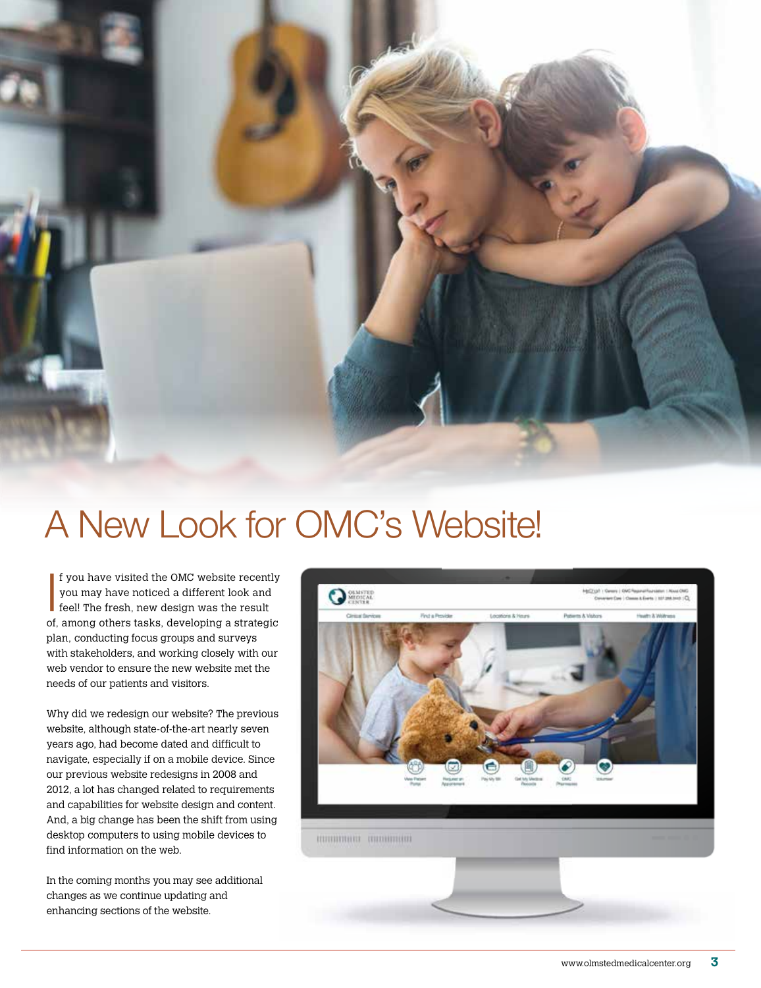

## A New Look for OMC's Website!

If you have visited the OMC website recent<br>you may have noticed a different look and<br>feel! The fresh, new design was the result f you have visited the OMC website recently you may have noticed a different look and of, among others tasks, developing a strategic plan, conducting focus groups and surveys with stakeholders, and working closely with our web vendor to ensure the new website met the needs of our patients and visitors.

Why did we redesign our website? The previous website, although state-of-the-art nearly seven years ago, had become dated and difficult to navigate, especially if on a mobile device. Since our previous website redesigns in 2008 and 2012, a lot has changed related to requirements and capabilities for website design and content. And, a big change has been the shift from using desktop computers to using mobile devices to find information on the web.

In the coming months you may see additional changes as we continue updating and enhancing sections of the website.